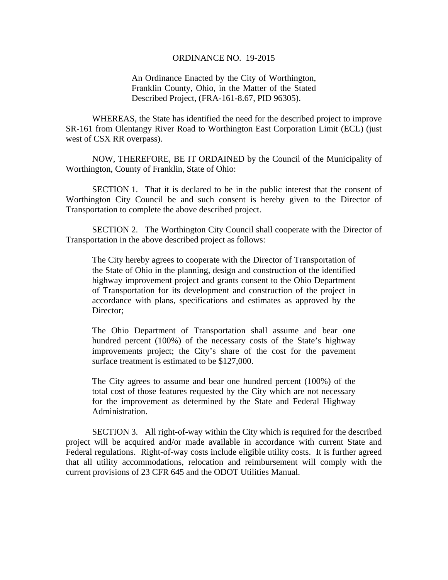## ORDINANCE NO. 19-2015

An Ordinance Enacted by the City of Worthington, Franklin County, Ohio, in the Matter of the Stated Described Project, (FRA-161-8.67, PID 96305).

WHEREAS, the State has identified the need for the described project to improve SR-161 from Olentangy River Road to Worthington East Corporation Limit (ECL) (just west of CSX RR overpass).

 NOW, THEREFORE, BE IT ORDAINED by the Council of the Municipality of Worthington, County of Franklin, State of Ohio:

SECTION 1. That it is declared to be in the public interest that the consent of Worthington City Council be and such consent is hereby given to the Director of Transportation to complete the above described project.

 SECTION 2. The Worthington City Council shall cooperate with the Director of Transportation in the above described project as follows:

The City hereby agrees to cooperate with the Director of Transportation of the State of Ohio in the planning, design and construction of the identified highway improvement project and grants consent to the Ohio Department of Transportation for its development and construction of the project in accordance with plans, specifications and estimates as approved by the Director;

The Ohio Department of Transportation shall assume and bear one hundred percent (100%) of the necessary costs of the State's highway improvements project; the City's share of the cost for the pavement surface treatment is estimated to be \$127,000.

The City agrees to assume and bear one hundred percent (100%) of the total cost of those features requested by the City which are not necessary for the improvement as determined by the State and Federal Highway Administration.

 SECTION 3. All right-of-way within the City which is required for the described project will be acquired and/or made available in accordance with current State and Federal regulations. Right-of-way costs include eligible utility costs. It is further agreed that all utility accommodations, relocation and reimbursement will comply with the current provisions of 23 CFR 645 and the ODOT Utilities Manual.